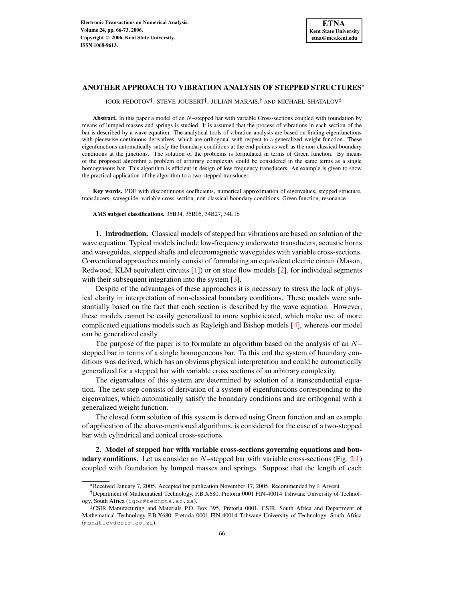# **ANOTHER APPROACH TO VIBRATION ANALYSIS OF STEPPED STRUCTURES**

IGOR FEDOTOV<sup>†</sup>, STEVE JOUBERT<sup>†</sup>, JULIAN MARAIS,<sup>†</sup> AND MICHAEL SHATALOV

Abstract. In this paper a model of an N-stepped bar with variable Cross-sections coupled with foundation by means of lumped masses and springs is studied. It is assumed that the process of vibrations in each section of the bar is described by a wave equation. The analytical tools of vibration analysis are based on finding eigenfunctions with piecewise continuous derivatives, which are orthogonal with respect to a generalized weight function. These eigenfunctions automatically satisfy the boundary conditions at the end points as well as the non-classical boundary conditions at the junctions. The solution of the problems is formulated in terms of Green function. By means of the proposed algorithm a problem of arbitrary complexity could be considered in the same terms as a single homogeneous bar. This algorithm is efficient in design of low frequency transducers. An example is given to show the practical application of the algorithm to a two-stepped transducer.

**Key words.** PDE with discontinuous coefficients, numerical approximation of eigenvalues, stepped structure, transducers, waveguide, variable cross-section, non-classical boundary conditions, Green function, resonance

**AMS subject classifications.** 35B34, 35R05, 34B27, 34L16

**1. Introduction.** Classical models of stepped bar vibrations are based on solution of the wave equation. Typical models include low-frequency underwater transducers, acoustic horns and waveguides, stepped shafts and electromagnetic waveguides with variable cross-sections. Conventional approaches mainly consist of formulating an equivalent electric circuit (Mason, Redwood, KLM equivalent circuits  $[1]$ ) or on state flow models  $[2]$ , for individual segments with their subsequent integration into the system [\[3\]](#page-6-2).

Despite of the advantages of these approaches it is necessary to stress the lack of physical clarity in interpretation of non-classical boundary conditions. These models were substantially based on the fact that each section is described by the wave equation. However, these models cannot be easily generalized to more sophisticated, which make use of more complicated equations models such as Rayleigh and Bishop models [\[4\]](#page-6-3), whereas our model can be generalized easily.

The purpose of the paper is to formulate an algorithm based on the analysis of an  $N$ stepped bar in terms of a single homogeneous bar. To this end the system of boundary conditions was derived, which has an obvious physical interpretation and could be automatically generalized for a stepped bar with variable cross sections of an arbitrary complexity.

The eigenvalues of this system are determined by solution of a transcendential equation. The next step consists of derivation of a system of eigenfunctions corresponding to the eigenvalues, which automatically satisfy the boundary conditions and are orthogonal with a generalized weight function.

The closed form solution of this system is derived using Green function and an example of application of the above-mentioned algorithms, is considered for the case of a two-stepped bar with cylindrical and conical cross-sections.

**2. Model of stepped bar with variable cross-sections governing equations and boundary conditions.** Let us consider an  $N$ -stepped bar with variable cross-sections (Fig. [2.1\)](#page-1-0) coupled with foundation by lumped masses and springs. Suppose that the length of each

<sup>\*</sup> Received January 7, 2005. Accepted for publication November 17, 2005. Recommended by J. Arvesú.

<sup>&</sup>lt;sup>†</sup> Department of Mathematical Technology, P.B.X680, Pretoria 0001 FIN-40014 Tshwane University of Technology, South Africa (igor@techpta.ac.za).

<sup>-</sup> CSIR Manufacturing and Materials P.O. Box 395, Pretoria 0001, CSIR, South Africa and Department of Mathematical Technology P.B.X680, Pretoria 0001 FIN-40014 Tshwane University of Technology, South Africa (mshatlov@csir.co.za).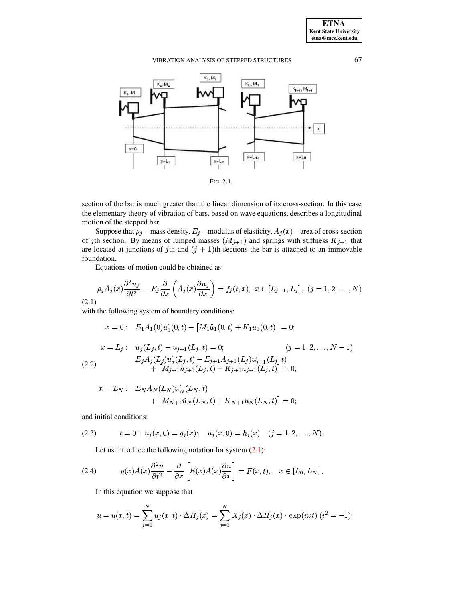

<span id="page-1-0"></span>section of the bar is much greater than the linear dimension of its cross-section. In this case the elementary theory of vibration of bars, based on wave equations, describes a longitudinal motion of the stepped bar.

Suppose that  $\rho_j$  – mass density,  $E_j$  – modulus of elasticity,  $A_j(x)$  – area of cross-section of jth section. By means of lumped masses  $(M_{j+1})$  and springs with stiffness  $K_{j+1}$  that are located at junctions of jth and  $(j + 1)$ th sections the bar is attached to an immovable foundation.

Equations of motion could be obtained as:

<span id="page-1-1"></span>
$$
\rho_j A_j(x) \frac{\partial^2 u_j}{\partial t^2} - E_j \frac{\partial}{\partial x} \left( A_j(x) \frac{\partial u_j}{\partial x} \right) = f_j(t, x), \ x \in [L_{j-1}, L_j], \ (j = 1, 2, \dots, N)
$$
\n(2.1)

with the following system of boundary conditions:

<span id="page-1-3"></span>
$$
x = 0: \quad E_1 A_1(0) u_1'(0, t) - [M_1 \ddot{u}_1(0, t) + K_1 u_1(0, t)] = 0;
$$
  
\n
$$
x = L_j: \quad u_j(L_j, t) - u_{j+1}(L_j, t) = 0; \quad (j = 1, 2, ..., N - 1)
$$
  
\n
$$
E_j A_j(L_j) u_j'(L_j, t) - E_{j+1} A_{j+1}(L_j) u_{j+1}'(L_j, t) + [M_{j+1} \ddot{u}_{j+1}(L_j, t) + K_{j+1} u_{j+1}(L_j, t)] = 0;
$$

$$
x = L_N: E_N A_N(L_N) u'_N(L_N, t) + [M_{N+1} u_N(L_N, t) + K_{N+1} u_N(L_N, t)] = 0;
$$

and initial conditions:

<span id="page-1-4"></span>(2.3) 
$$
t = 0: u_j(x, 0) = g_j(x);
$$
  $\dot{u}_j(x, 0) = h_j(x)$   $(j = 1, 2, ..., N).$ 

Let us introduce the following notation for system  $(2.1)$ :

<span id="page-1-2"></span>(2.4) 
$$
\rho(x)A(x)\frac{\partial^2 u}{\partial t^2} - \frac{\partial}{\partial x}\left[E(x)A(x)\frac{\partial u}{\partial x}\right] = F(x,t), \quad x \in [L_0, L_N].
$$

In this equation we suppose that

$$
u = u(x,t) = \sum_{j=1}^{N} u_j(x,t) \cdot \Delta H_j(x) = \sum_{j=1}^{N} X_j(x) \cdot \Delta H_j(x) \cdot \exp(i\omega t) \ (i^2 = -1);
$$

67

**ETNA Kent State University**  $etna@mcs. kent.edu$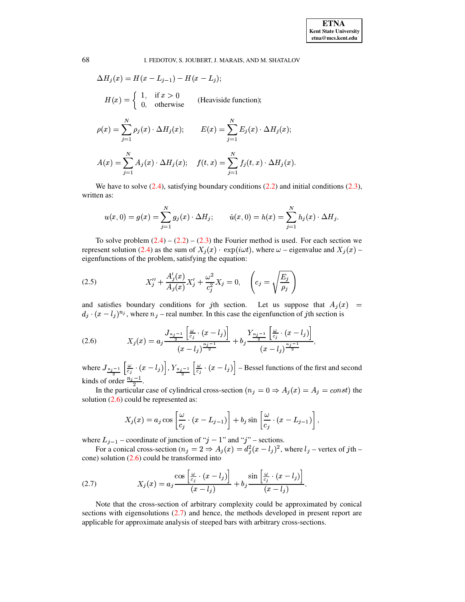#### 68 I. FEDOTOV, S. JOUBERT, J. MARAIS, AND M. SHATALOV

$$
\Delta H_j(x) = H(x - L_{j-1}) - H(x - L_j);
$$
  
\n
$$
H(x) = \begin{cases} 1, & \text{if } x > 0 \\ 0, & \text{otherwise} \end{cases}
$$
 (Heaviside function);  
\n
$$
\rho(x) = \sum_{j=1}^N \rho_j(x) \cdot \Delta H_j(x); \qquad E(x) = \sum_{j=1}^N E_j(x) \cdot \Delta H_j(x);
$$
  
\n
$$
A(x) = \sum_{j=1}^N A_j(x) \cdot \Delta H_j(x); \qquad f(t, x) = \sum_{j=1}^N f_j(t, x) \cdot \Delta H_j(x).
$$

We have to solve  $(2.4)$ , satisfying boundary conditions  $(2.2)$  and initial conditions  $(2.3)$ , written as:

$$
u(x,0) = g(x) = \sum_{j=1}^{N} g_j(x) \cdot \Delta H_j; \qquad \dot{u}(x,0) = h(x) = \sum_{j=1}^{N} h_j(x) \cdot \Delta H_j.
$$

To solve problem  $(2.4) - (2.2) - (2.3)$  $(2.4) - (2.2) - (2.3)$  $(2.4) - (2.2) - (2.3)$  $(2.4) - (2.2) - (2.3)$  $(2.4) - (2.2) - (2.3)$  the Fourier method is used. For each section we represent solution [\(2.4\)](#page-1-2) as the sum of  $X_i(x) \cdot \exp(i\omega t)$ , where  $\omega$  – eigenvalue and  $X_i(x)$  – eigenfunctions of the problem, satisfying the equation:

<span id="page-2-2"></span>(2.5) 
$$
X''_j + \frac{A'_j(x)}{A_j(x)} X'_j + \frac{\omega^2}{c_j^2} X_j = 0, \quad \left(c_j = \sqrt{\frac{E_j}{\rho_j}}\right)
$$

and satisfies boundary conditions for *j*th section. Let us suppose that  $A_i(x)$  =  $d_i \cdot (x - l_i)^{n_i}$ , where  $n_i$  – real number. In this case the eigenfunction of jth section is

<span id="page-2-0"></span>(2.6) 
$$
X_j(x) = a_j \frac{J_{\frac{n_j-1}{2}}\left[\frac{\omega}{c_j}\cdot(x-l_j)\right]}{(x-l_j)^{\frac{n_j-1}{2}}} + b_j \frac{Y_{\frac{n_j-1}{2}}\left[\frac{\omega}{c_j}\cdot(x-l_j)\right]}{(x-l_j)^{\frac{n_j-1}{2}}},
$$

where  $J_{\frac{n_j-1}{2}}\left[\frac{\omega}{c_j}\cdot(x-l_j)\right], Y_{\frac{n_j-1}{2}}\left[\frac{\omega}{c_j}\cdot(x-l_j)\right]$  – Bessel functions of the first and second kinds of order  $\frac{n_j-1}{2}$ .

In the particular case of cylindrical cross-section  $(n_j = 0 \Rightarrow A_j(x) = A_j = const)$  the solution  $(2.6)$  could be represented as:

$$
X_j(x) = a_j \cos \left[\frac{\omega}{c_j} \cdot (x - L_{j-1})\right] + b_j \sin \left[\frac{\omega}{c_j} \cdot (x - L_{j-1})\right],
$$

where  $L_{j-1}$  – coordinate of junction of " $j - 1$ " and " $j$ " – sections.

For a conical cross-section ( $n_j = 2 \Rightarrow A_j(x) = d_j^2(x - l_j)^2$ , where  $l_j$  – vertex of jth –  $\alpha$  cone) solution [\(2.6\)](#page-2-0) could be transformed into

<span id="page-2-1"></span>(2.7) 
$$
X_j(x) = a_j \frac{\cos\left[\frac{\omega}{c_j} \cdot (x - l_j)\right]}{(x - l_j)} + b_j \frac{\sin\left[\frac{\omega}{c_j} \cdot (x - l_j)\right]}{(x - l_j)}.
$$

Note that the cross-section of arbitrary complexity could be approximated by conical sections with eigensolutions [\(2.7\)](#page-2-1) and hence, the methods developed in present report are applicable for approximate analysis of steeped bars with arbitrary cross-sections.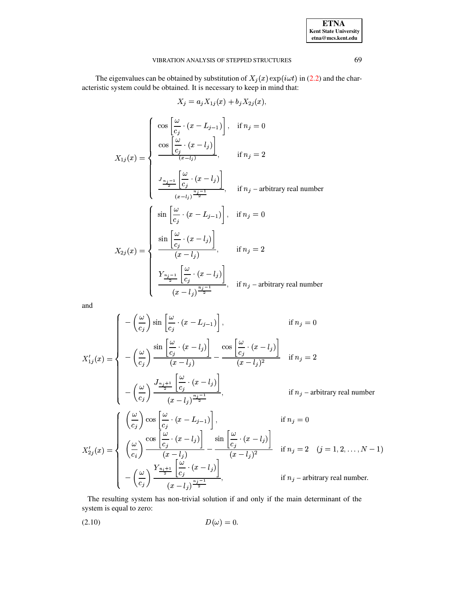| <b>ETNA</b>                                   |
|-----------------------------------------------|
| <b>Kent State University</b>                  |
| etna@mcs.kent.edu<br>$\overline{\phantom{a}}$ |

The eigenvalues can be obtained by substitution of  $X_i(x)$  exp( $i\omega t$ ) in [\(2.2\)](#page-1-3) and the characteristic system could be obtained. It is necessary to keep in mind that:

$$
X_j = a_j X_{1j}(x) + b_j X_{2j}(x),
$$
\n
$$
X_{1j}(x) = \begin{cases}\n\cos\left[\frac{\omega}{c_j} \cdot (x - L_{j-1})\right], & \text{if } n_j = 0 \\
\frac{\cos\left[\frac{\omega}{c_j} \cdot (x - l_j)\right]}{(x - l_j)}, & \text{if } n_j = 2\n\end{cases}
$$
\n
$$
\frac{J_{\frac{n_j-1}{2}}\left[\frac{\omega}{c_j} \cdot (x - l_j)\right]}{(x - l_j)^{\frac{n_j-1}{2}}}, \quad \text{if } n_j = \text{arbitrary real number}
$$
\n
$$
X_{2j}(x) = \begin{cases}\n\sin\left[\frac{\omega}{c_j} \cdot (x - L_{j-1})\right], & \text{if } n_j = 0 \\
\frac{\sin\left[\frac{\omega}{c_j} \cdot (x - l_j)\right]}{(x - l_j)}, & \text{if } n_j = 2\n\end{cases}
$$
\n
$$
\frac{Y_{\frac{n_j-1}{2}}\left[\frac{\omega}{c_j} \cdot (x - l_j)\right]}{(x - l_j)}, \quad \text{if } n_j = \text{arbitrary real number}
$$

and

$$
X'_{1j}(x) = \begin{cases}\n-\left(\frac{\omega}{c_j}\right)\sin\left[\frac{\omega}{c_j}\cdot(x-L_{j-1})\right], & \text{if } n_j = 0 \\
-\left(\frac{\omega}{c_j}\right)\frac{\sin\left[\frac{\omega}{c_j}\cdot(x-L_j)\right]}{(x-l_j)} - \frac{\cos\left[\frac{\omega}{c_j}\cdot(x-L_j)\right]}{(x-l_j)^2} & \text{if } n_j = 2 \\
-\left(\frac{\omega}{c_j}\right)\frac{J_{\frac{n_j+1}{2}}\left[\frac{\omega}{c_j}\cdot(x-L_j)\right]}{(x-l_j)^{\frac{n_j-1}{2}}}, & \text{if } n_j - \text{arbitrary real number} \\
\left(\frac{\omega}{c_j}\right)\frac{\cos\left[\frac{\omega}{c_j}\cdot(x-L_{j-1})\right]}{(x-l_j)^{\frac{n_j-1}{2}}}, & \text{if } n_j = 0\n\end{cases}
$$
\n
$$
X'_{2j}(x) = \begin{cases}\n\left(\frac{\omega}{c_j}\right)\cos\left[\frac{\omega}{c_j}\cdot(x-L_{j-1})\right], & \text{if } n_j = 0 \\
\left(\frac{\omega}{c_i}\right)\frac{\cos\left[\frac{\omega}{c_j}\cdot(x-L_j)\right]}{(x-l_j)} - \frac{\sin\left[\frac{\omega}{c_j}\cdot(x-L_j)\right]}{(x-l_j)^2} & \text{if } n_j = 2 \quad (j = 1, 2, \dots, N-1) \\
-\left(\frac{\omega}{c_j}\right)\frac{Y_{\frac{n_j+1}{2}}\left[\frac{\omega}{c_j}\cdot(x-L_j)\right]}{(x-l_j)^{\frac{n_j-1}{2}}}, & \text{if } n_j - \text{arbitrary real number.}\n\end{cases}
$$

The resulting system has non-trivial solution if and only if the main determinant of the system is equal to zero:

<span id="page-3-0"></span>
$$
(2.10) \t\t D(\omega) = 0.
$$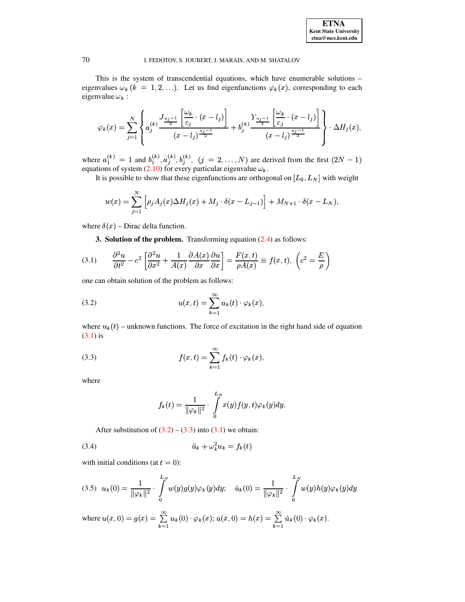#### I. FEDOTOV, S. JOUBERT, J. MARAIS, AND M. SHATALOV

This is the system of transcendential equations, which have enumerable solutions eigenvalues  $\omega_k$  ( $k = 1, 2, ...$ ). Let us find eigenfunctions  $\varphi_k(x)$ , corresponding to each eigenvalue  $\omega_k$ :

$$
\varphi_k(x) = \sum_{j=1}^N \left\{ a_j^{(k)} \frac{\frac{J_{n_j-1}}{2} \left[ \frac{\omega_k}{c_j} \cdot (x-l_j) \right]}{(x-l_j)^{\frac{n_j-1}{2}}} + b_j^{(k)} \frac{Y_{n_j-1}}{2} \left[ \frac{\omega_k}{c_j} \cdot (x-l_j) \right]}{(x-l_j)^{\frac{n_j-1}{2}}} \right\} \cdot \Delta H_j(x),
$$

where  $a_1^{(k)} = 1$  and  $b_1^{(k)}, a_j^{(k)}, b_j^{(k)}$ ,  $(j = 2,..., N)$  are derived from the first  $(2N - 1)$  equations of system (2.10) for every particular eigenvalue  $\omega_k$ .

It is possible to show that these eigenfunctions are orthogonal on  $[L_0, L_N]$  with weight

$$
w(x) = \sum_{j=1}^{N} \left[ \rho_j A_j(x) \Delta H_j(x) + M_j \cdot \delta(x - L_{j-1}) \right] + M_{N+1} \cdot \delta(x - L_N),
$$

where  $\delta(x)$  – Dirac delta function.

**3. Solution of the problem.** Transforming equation  $(2.4)$  as follows:

<span id="page-4-0"></span>(3.1) 
$$
\frac{\partial^2 u}{\partial t^2} - c^2 \left[ \frac{\partial^2 u}{\partial x^2} + \frac{1}{A(x)} \frac{\partial A(x)}{\partial x} \frac{\partial u}{\partial x} \right] = \frac{F(x, t)}{\rho A(x)} \equiv f(x, t), \left( c^2 = \frac{E}{\rho} \right)
$$

one can obtain solution of the problem as follows:

<span id="page-4-1"></span>(3.2) 
$$
u(x,t) = \sum_{k=1}^{\infty} u_k(t) \cdot \varphi_k(x)
$$

where  $u_k(t)$  – unknown functions. The force of excitation in the right hand side of equation  $(3.1)$  is

<span id="page-4-2"></span>(3.3) 
$$
f(x,t) = \sum_{k=1}^{\infty} f_k(t) \cdot \varphi_k(x),
$$

where

$$
f_k(t) = \frac{1}{\|\varphi_k\|^2} \cdot \int\limits_0^{L_N} x(y) f(y, t) \varphi_k(y) dy.
$$

<span id="page-4-3"></span>After substitution of  $(3.2) - (3.3)$  into  $(3.1)$  we obtain:

$$
(3.4) \qquad \qquad \ddot{u}_k + \omega_k^2 u_k = f_k(t)
$$

with initial conditions (at  $t = 0$ ):

<span id="page-4-4"></span>
$$
(3.5) \ \ u_k(0) = \frac{1}{\|\varphi_k\|^2} \cdot \int_0^{L_N} w(y)g(y)\varphi_k(y)dy; \quad \dot{u}_k(0) = \frac{1}{\|\varphi_k\|^2} \cdot \int_0^{L_N} w(y)h(y)\varphi_k(y)dy
$$

where  $u(x, 0) = g(x) = \sum_{k=1} u_k(0) \cdot \varphi_k(x)$ ;  $\dot{u}(x, 0) = h(x) = \sum_{k=1} \dot{u}_k(0) \cdot \varphi_k(x)$ .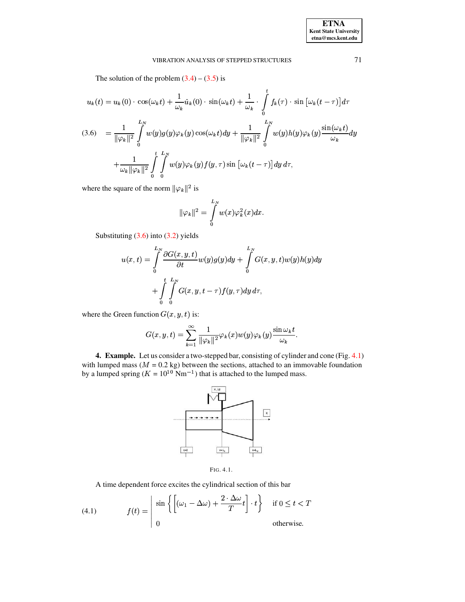The solution of the problem  $(3.4) - (3.5)$  is

<span id="page-5-0"></span>
$$
u_k(t) = u_k(0) \cdot \cos(\omega_k t) + \frac{1}{\omega_k} \dot{u}_k(0) \cdot \sin(\omega_k t) + \frac{1}{\omega_k} \cdot \int_0^t f_k(\tau) \cdot \sin\left[\omega_k (t-\tau)\right] d\tau
$$
  
(3.6) 
$$
= \frac{1}{\|\varphi_k\|^2} \int_0^{L_N} w(y) g(y) \varphi_k(y) \cos(\omega_k t) dy + \frac{1}{\|\varphi_k\|^2} \int_0^{L_N} w(y) h(y) \varphi_k(y) \frac{\sin(\omega_k t)}{\omega_k} dy
$$

$$
+ \frac{1}{\omega_k \|\varphi_k\|^2} \int_0^t \int_0^t w(y) \varphi_k(y) f(y, \tau) \sin\left[\omega_k (t-\tau)\right] dy \, d\tau,
$$

where the square of the norm  $\|\varphi_k\|^2$  is

$$
\|\varphi_k\|^2=\int\limits_0^{L_N}w(x)\varphi_k^2(x)dx.
$$

Substituting  $(3.6)$  into  $(3.2)$  yields

$$
u(x,t) = \int_{0}^{L_N} \frac{\partial G(x,y,t)}{\partial t} w(y)g(y)dy + \int_{0}^{L_N} G(x,y,t)w(y)h(y)dy
$$

$$
+ \int_{0}^{t} \int_{0}^{L_N} G(x,y,t-\tau)f(y,\tau)dy d\tau,
$$

where the Green function  $G(x, y, t)$  is:

$$
G(x, y, t) = \sum_{k=1}^{\infty} \frac{1}{\|\varphi_k\|^2} \varphi_k(x) w(y) \varphi_k(y) \frac{\sin \omega_k t}{\omega_k}.
$$

4. Example. Let us consider a two-stepped bar, consisting of cylinder and cone (Fig. 4.1) with lumped mass  $(M = 0.2 \text{ kg})$  between the sections, attached to an immovable foundation<br>by a lumped spring  $(K = 10^{10} \text{ Nm}^{-1})$  that is attached to the lumped mass.



<span id="page-5-1"></span>FIG. 4.1.

A time dependent force excites the cylindrical section of this bar

<span id="page-5-2"></span>(4.1) 
$$
f(t) = \begin{vmatrix} \sin \left\{ \left[ (\omega_1 - \Delta \omega) + \frac{2 \cdot \Delta \omega}{T} t \right] \cdot t \right\} & \text{if } 0 \leq t < T \\ 0 & \text{otherwise.} \end{vmatrix}
$$

71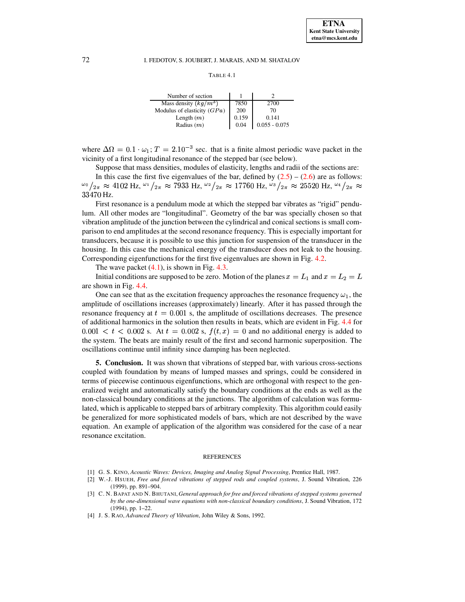#### I. FEDOTOV, S. JOUBERT, J. MARAIS, AND M. SHATALOV

```
TABLE 4.1
```

| Number of section             |       |                 |
|-------------------------------|-------|-----------------|
| Mass density $(kg/m^3)$       | 7850  | 2700            |
| Modulus of elasticity $(GPa)$ | 200   | 70              |
| Length $(m)$                  | 0.159 | 0.141           |
| Radius $(m)$                  | 0.04  | $0.055 - 0.075$ |

where  $\Delta\Omega = 0.1 \cdot \omega_1$ ;  $T = 2.10^{-3}$  sec. that is a finite almost periodic wave packet in the vicinity of a first longitudinal resonance of the stepped bar (see below).

Suppose that mass densities, modules of elasticity, lengths and radii of the sections are:

In this case the first five eigenvalues of the bar, defined by  $(2.5) - (2.6)$  are as follows:  $\frac{\omega_0}{2\pi} \approx 4102 \text{ Hz}, \frac{\omega_1}{2\pi} \approx 7933 \text{ Hz}, \frac{\omega_2}{2\pi} \approx 17760 \text{ Hz}, \frac{\omega_3}{2\pi} \approx 25520 \text{ Hz}, \frac{\omega_4}{2\pi} \approx 12520 \text{ Hz}$ 33470 Hz.

First resonance is a pendulum mode at which the stepped bar vibrates as "rigid" pendulum. All other modes are "longitudinal". Geometry of the bar was specially chosen so that vibration amplitude of the junction between the cylindrical and conical sections is small comparison to end amplitudes at the second resonance frequency. This is especially important for transducers, because it is possible to use this junction for suspension of the transducer in the housing. In this case the mechanical energy of the transducer does not leak to the housing. Corresponding eigenfunctions for the first five eigenvalues are shown in Fig. 4.2.

The wave packet  $(4.1)$ , is shown in Fig. 4.3.

Initial conditions are supposed to be zero. Motion of the planes  $x = L_1$  and  $x = L_2 = L$ are shown in Fig. 4.4.

One can see that as the excitation frequency approaches the resonance frequency  $\omega_1$ , the amplitude of oscillations increases (approximately) linearly. After it has passed through the resonance frequency at  $t = 0.001$  s, the amplitude of oscillations decreases. The presence of additional harmonics in the solution then results in beats, which are evident in Fig. 4.4 for  $0.001 < t < 0.002$  s. At  $t = 0.002$  s,  $f(t, x) = 0$  and no additional energy is added to the system. The beats are mainly result of the first and second harmonic superposition. The oscillations continue until infinity since damping has been neglected.

**5. Conclusion.** It was shown that vibrations of stepped bar, with various cross-sections coupled with foundation by means of lumped masses and springs, could be considered in terms of piecewise continuous eigenfunctions, which are orthogonal with respect to the generalized weight and automatically satisfy the boundary conditions at the ends as well as the non-classical boundary conditions at the junctions. The algorithm of calculation was formulated, which is applicable to stepped bars of arbitrary complexity. This algorithm could easily be generalized for more sophisticated models of bars, which are not described by the wave equation. An example of application of the algorithm was considered for the case of a near resonance excitation.

#### **REFERENCES**

- <span id="page-6-0"></span>[1] G. S. KINO, Acoustic Waves: Devices, Imaging and Analog Signal Processing, Prentice Hall, 1987.
- <span id="page-6-2"></span><span id="page-6-1"></span>[2] W.-J. HSUEH, Free and forced vibrations of stepped rods and coupled systems, J. Sound Vibration, 226 (1999), pp. 891-904.
- [3] C. N. BAPAT AND N. BHUTANI, General approach for free and forced vibrations of stepped systems governed by the one-dimensional wave equations with non-classical boundary conditions, J. Sound Vibration, 172  $(1994)$ , pp. 1-22.
- <span id="page-6-3"></span>[4] J. S. RAO, Advanced Theory of Vibration, John Wiley & Sons, 1992.